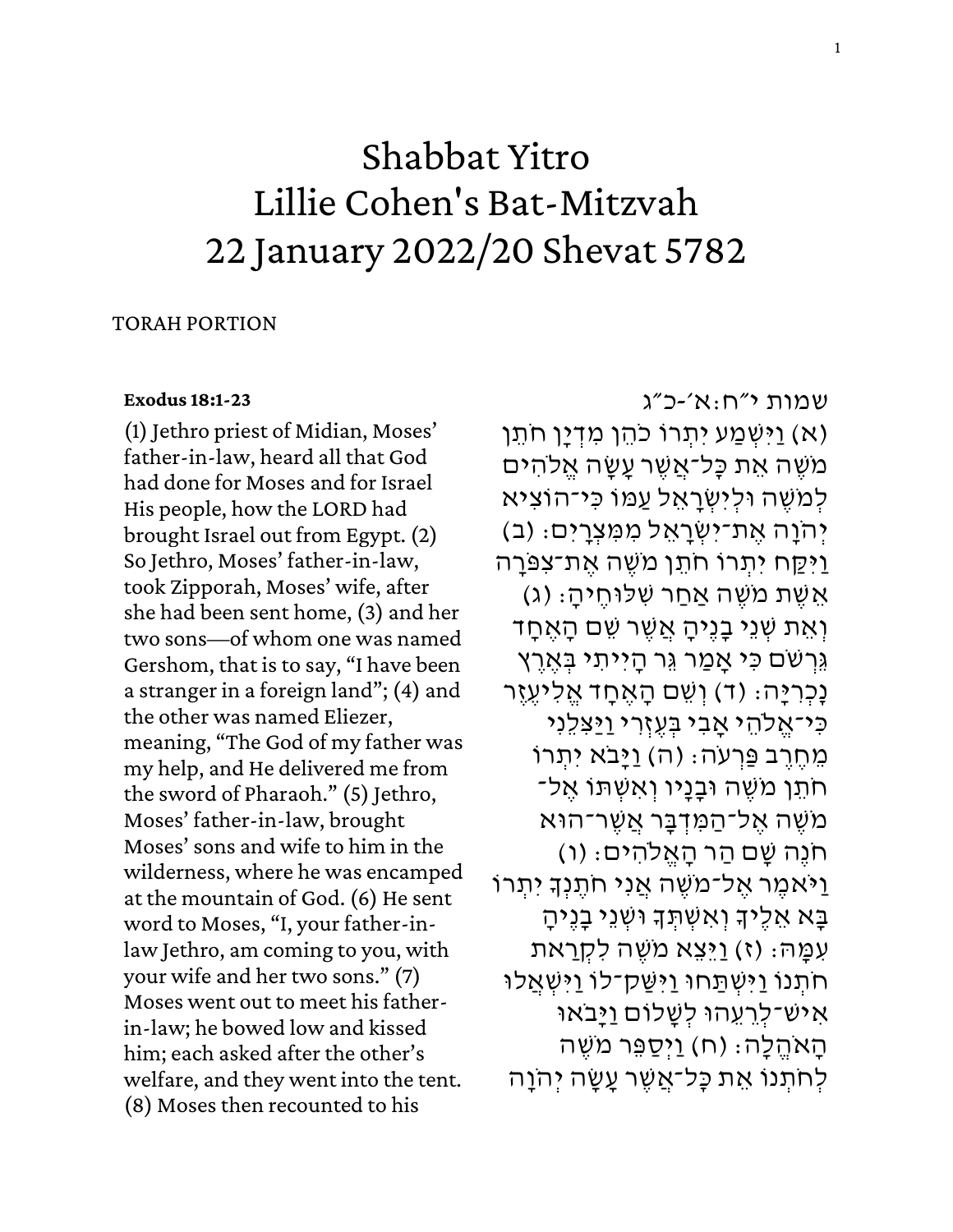# Shabbat Yitro Lillie Cohen's Bat-Mitzvah 22 January 2022/20 Shevat 5782

### TORAH PORTION

### **[Exodus 18:1-23](https://www.sefaria.org/Exodus.18.1-23)**

(1) Jethro priest of Midian, Moses' father-in-law, heard all that God had done for Moses and for Israel His people, how the LORD had brought Israel out from Egypt. (2) So Jethro, Moses' father-in-law, took Zipporah, Moses' wife, after she had been sent home, (3) and her two sons—of whom one was named Gershom, that is to say, "I have been a stranger in a foreign land"; (4) and the other was named Eliezer, meaning, "The God of my father was my help, and He delivered me from the sword of Pharaoh." (5) Jethro, Moses' father-in-law, brought Moses' sons and wife to him in the wilderness, where he was encamped at the mountain of God. (6) He sent word to Moses, "I, your father-inlaw Jethro, am coming to you, with your wife and her two sons." (7) Moses went out to meet his fatherin-law; he bowed low and kissed him; each asked after the other's welfare, and they went into the tent. (8) Moses then recounted to his

# [שמות](https://www.sefaria.org/Exodus.18.1-23) [י״ח :א׳- כ״ג](https://www.sefaria.org/Exodus.18.1-23)  (א) וַיְּשְׁמַע יִתְרוֹ כֹהֵן מְדָיַן חֹתֵן) מֹשֶׁה אֶת כָּל־אֲשֶׁר עָשָׂה אֱלֹהִים

לְמֹשֶׁה וּלִיְשְׂרַאֵל עַמּוֹ כִּי־הוֹצִיא יְהֹוַה אֶת־יִשְׂרַאֶל מִמְּצְרַיִִּים: (ב) ַוַיִּקַח יִתְרוֹ חֹתֵן מֹשֶׁה אֶת־צְפַּרַה (ג) אֵשֶׁת מֹשֶׁה אַחַר שְׁלוּחֵיהַ: (ג ֿוְאֵת שְׁנֵי בָנֶיהָ אֲשֶׁר שֵׁם הָאֶחָד ְגֶּרְשִׁם כִּי אֲמֵר גֵּר הַיִּיתִי בְּאֶרֵץ נַכְרְיַּה: (ד) וְשֵׁם הַאֲחַד אֱלִיעֶזֶר כִּי־אֱלֹהֵי אֲבִי בְּעֵזְרִי <u>וַיַּ</u>צְלֵנִי ּמְחֶרֶב פַּרְעֹה: (ה) וַיָּבֹא יִתְרוֹ ְּחֹתֵן מֹשֶׁה וּבָנָיו וְאִשְׁתּוֹ אֵל־ מֹשֶׁה אֲל־הַמְּדְבֵּר אֲשֶׁר־הוּא ְּחֹנֵה שָׁם הַר הָאֱלֹהִיִּּים: (ו) וַיֹּאמֶר אֶל־מֹשֶׁה אֲנִי חֹתֶנְךָ יִתְרוֹ ַ בַּא אֵלֵיךָ וְאִשְׁתָּךָ וּשָׁנֵי בָנֵיהַ עְמֵה: (ז) וַיֵּצְא מֹשֶׁה לְקָרַאת חֹתְנוֹ וַיְּשְׁתַּחוּ וַיִּשֵּׁק־לוֹ וַיִּשְׁאֲלוּ ְאִישׁ־לְרֵעֶהוּ לְשֲלוֹם <u>וַי</u>ּבֹאוּ הָאֹהֱלָה؛ (ח) וַיְּסַפֵּר מֹשֶׁה לְחֹתְנוֹ אֵת כָּל־אֲשֶׁר עֲשָׂה יְהֹוָה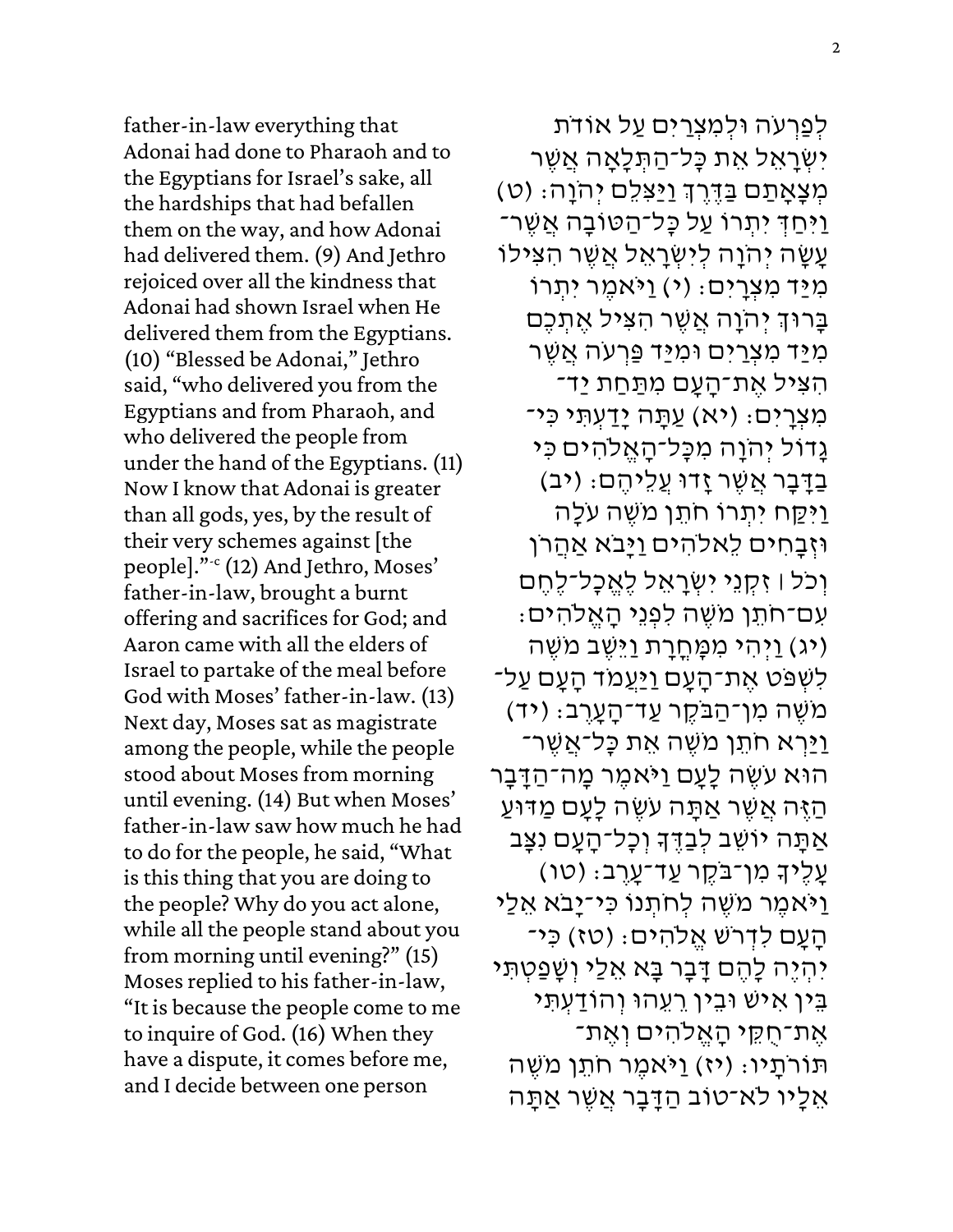father-in-law everything that Adonai had done to Pharaoh and to the Egyptians for Israel's sake, all the hardships that had befallen them on the way, and how Adonai had delivered them. (9) And Jethro rejoiced over all the kindness that Adonai had shown Israel when He delivered them from the Egyptians. (10) "Blessed be Adonai," Jethro said, "who delivered you from the Egyptians and from Pharaoh, and who delivered the people from under the hand of the Egyptians. (11) Now I know that Adonai is greater than all gods, yes, by the result of their very schemes against [the people]."-c (12) And Jethro, Moses' father-in-law, brought a burnt offering and sacrifices for God; and Aaron came with all the elders of Israel to partake of the meal before God with Moses' father-in-law. (13) Next day, Moses sat as magistrate among the people, while the people stood about Moses from morning until evening. (14) But when Moses' father-in-law saw how much he had to do for the people, he said, "What is this thing that you are doing to the people? Why do you act alone, while all the people stand about you from morning until evening?" (15) Moses replied to his father-in-law, "It is because the people come to me to inquire of God. (16) When they have a dispute, it comes before me, and I decide between one person

לְפַרְעֹה וּלְמִצְרַיִּם עַל אוֹדֹת יִשְׁרַאֵל אֶת כָּל־הַתְּלָאֲה אֲשֶׁר ַ<br>מְּצָאָתַם *בַּדֶּרֶךְ וַיַּצִּלֵ*ם יְהֹוָה: (ט) ַיַּחַדְּ יִתְרוֹ עַל כָּל־הַטּוֹבָה אֲשֶׁר־ ַעֲשֶׂה יְהֹוַה לְיִשְרַאֵל אֲשֶׁר הַצִּילוֹ מִיַּד מִצְרָיִם: (י) וַיֹּאמֶר יִתְרוֹ ְבַּרוּדְ יְהֹוַה אֲשֶׁר הְצִיל אֶתְכֶם מְיַּד מְצְרַיִּם וּמְיַּד פַּרְעֹה אֲשֶׁר ֿהִצִּיל אֶת־הָעָם מִתַּחַת יַד־ מִצְרָיִם: (יא) עַתָּה יָדַעְתְּי כִּי־ גָדוֹל יִהֹוָה מִכָּל־הָאֱלֹהִים כִּי בַדָּבָר אֲשֶׁר זָדוּ עֵלֵיהֵם: (יִב) ַו ִּי ַ קח ִּי ְׁתרֹו ֹח תן ֹמ שה ֹע ָלה וּזְבָחִים לִאלֹהִים וַיָּבֹא אַהֲרֹן וְכֹּל ו זִּ קְוָי יִשְׂרָאֵל לֵאֱכָל־לֵחֵם ַּעְם־חֹתֵן מֹשֶׁה לְפְנֵי הַאֱלֹהִים: (יג) וַיְהִי מִמָּחֳרָת וַיֵּשֶׁב מֹשֶׁה לְשָׁפּט אֶת־הַעַם <u>וִי</u>ּעֲמֹד הַעַם עַל־ ְמֹשֶׁה מְן־הַבֹּקֶר עַד־הַעֲרֵב: (יד) <u>וי</u>ַּרְא חֹתֵן מֹשֶׁה אֶת כַּל־אֲשֶׁר־ הוּא עֹשֶׂה לַעַם וַיֹּאמֶר מַה־הַדַּבַר ֿהַ אֲשֶׁר אַתָּה עֹשֶׂה לָעָם מַדּוּעַ .<br>אַתָּה יוֹשֵׁב לְבַדֶּךָ וְכָל־הָעָם נִצָּב ַעֲלֶיךָ מְן־בֹּקֶר עֲד־עַרֵב: (טו) ַוַיֹּאמֶר מֹשֶׁה לְחֹתְנוֹ כִּי־יָבֹא אֶלֵי ֿהָעָם לִדְּרֹשׁ אֱלֹהִיּם: (טז) כִּי־ יִהְיֶה לָהֶם דָּבָר בָּא אֵלֵי וְשָׁפַטְתִּי בֵּין אִישׁ וּבֵין רֵעֲהוּ וְהוֹדַעָתִ*ּי* אֶת־חֻקֵי הָאֱלֹהִים וְאֶת־ תּוֹרֹתַיו: (יז) וַיֹּאמֶר חֹתֶן מֹשֶׁה אֵלָיו לֹא־טוֹב הַדָּבָר אֲשֶׁר אַתָּה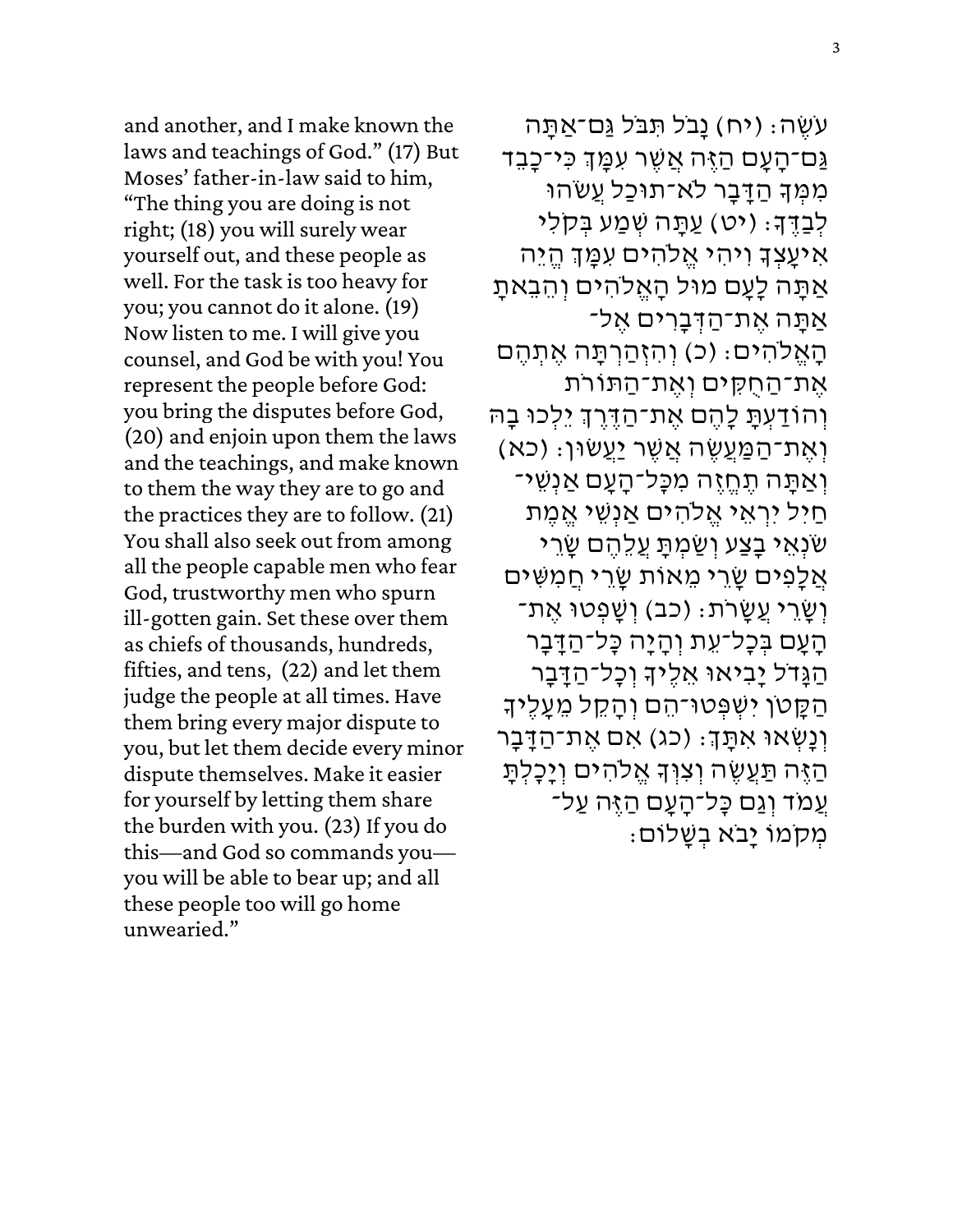and another, and I make known the laws and teachings of God." (17) But Moses' father-in-law said to him, "The thing you are doing is not right; (18) you will surely wear yourself out, and these people as well. For the task is too heavy for you; you cannot do it alone. (19) Now listen to me. I will give you counsel, and God be with you! You represent the people before God: you bring the disputes before God, (20) and enjoin upon them the laws and the teachings, and make known to them the way they are to go and the practices they are to follow. (21) You shall also seek out from among all the people capable men who fear God, trustworthy men who spurn ill-gotten gain. Set these over them as chiefs of thousands, hundreds, fifties, and tens, (22) and let them judge the people at all times. Have them bring every major dispute to you, but let them decide every minor dispute themselves. Make it easier for yourself by letting them share the burden with you. (23) If you do this—and God so commands you you will be able to bear up; and all these people too will go home unwearied."

ּעֹשֶׂה: (יח) נַבֹּל תְּבֹּל גַּם־אַתַּה .<br>גַּם־הָעָם הַזֶּה אֲשֶׁר עִמֲןְ כִּי־כָבֵד ְמִמְּךָ הַדַּבַר לֹא־תוּכַל עֲשׂהוּ .<br>לְּבַדֶּךָ: (יט) עַתָּה שְׁמַע בְּקלִי .<br>אִיעֲצְדָ וִיהִי אֱלֹהִים עִמֲדְ הֱיֵה אַתָּה לָעָם מוּל הָאֱלֹהִים וְהֵבָאתָ אַתַּה אֶת־הַדְּבַרִים אֶל־ הַאֱלֹהִים: (כ) וְהִזְּהַרְתַּה אֱתְהֶם אֶת־הַחֻקִּים וְאֶת־הַתּוֹרֹת .<br>וְהוֹדַעְתָּ לָהֶם אֶת־הַדֶּרֶךְ יֵלְכוּ בָהּ ֿוְאֶת־הַמַּעֲשֶׂה אֲשֶׁר יַעֲשׂוּן: (כא וְּאֲתַּה תֶחֱזֶה מִכְּל־הַעֲם אֲנָשֵׁי־ חַיִּל יִרְאֵי אֱלֹהִים אֲנְשֶׁי אֱמֵת ְשׂנְאֵי בַצַע וְשַׂמְתַּ עֵלֶהֶם שַׂרֵי אֲלָפִ<sup>ּ</sup>ים שֲׂרֵי מֵאוֹת שֲׂרֵי חֲמִשִּׁים ֿוְשָׂרֵי עֲשָׂרֹת: (כב) וְשֲׁפְטוּ אֶת־ הַעֲם בְּכָל־עֶת וְהַיַּה כַּל־הַדֵּבַר הַנְּדֹל יָבִיאוּ אֵלֵיךָ וְכָל־הַדָּבָר ְהַקֵּטֹן יִשְׁפְּטוּ־הֵם וְהָקֵל מֵעֲלֶיךָ יִנְנְשְׁאוּ אִתָּךָ: (כג) אִם אֶת־הַדָּבָר ...<br>הַיֶּה תַּעֲשֶׂה וְצִוְּךָ אֱלֹהִים וְיָכָלְתָּ עמֹד וגם כּל־העם הזּה עַל־ ּמְמִוֹ יָבֹא בְשַׁלוֹם: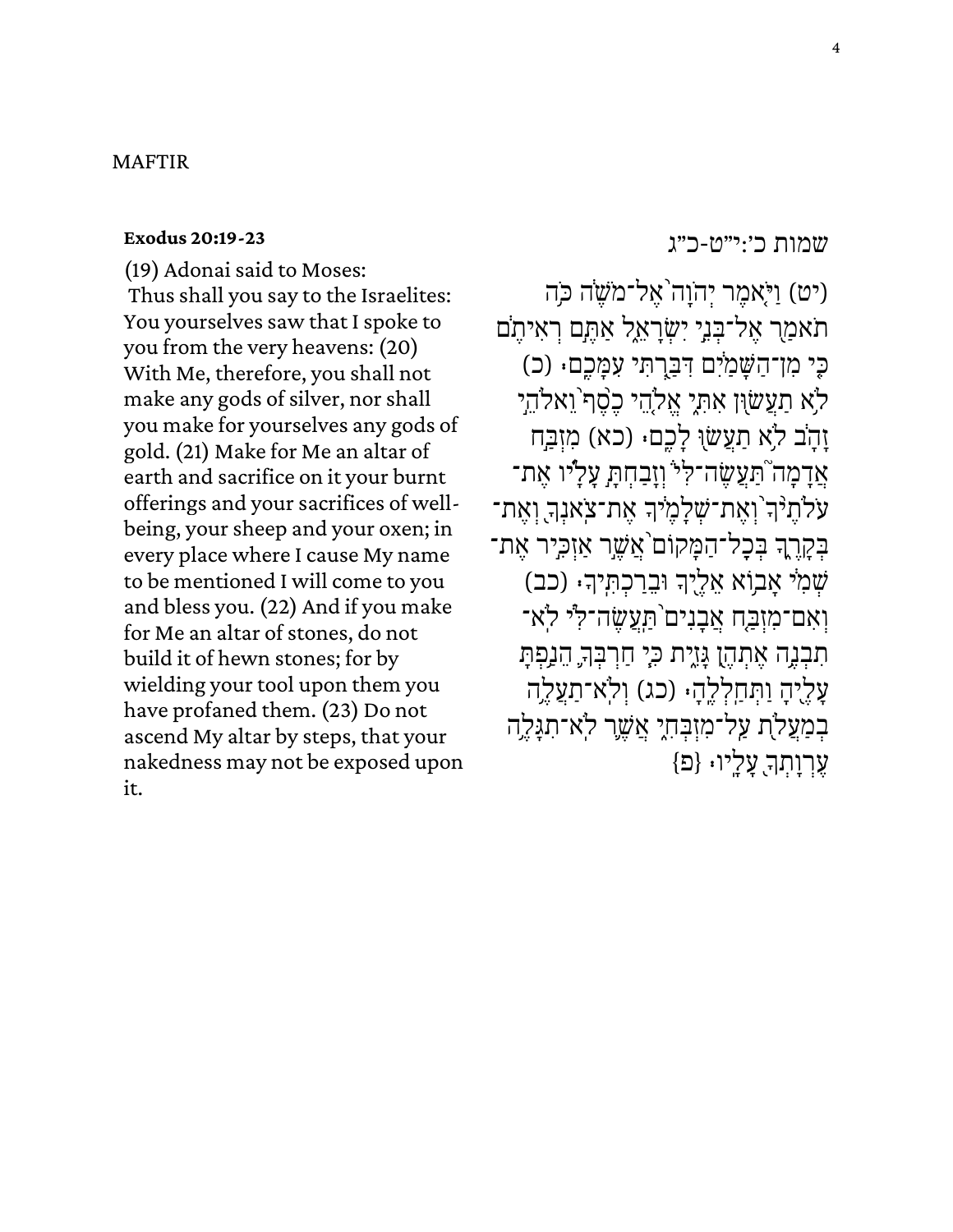### MAFTIR

#### **[Exodus 20:19-23](https://www.sefaria.org/Exodus.20.19-23)**

(19) Adonai said to Moses: Thus shall you say to the Israelites: You yourselves saw that I spoke to you from the very heavens: (20) With Me, therefore, you shall not make any gods of silver, nor shall you make for yourselves any gods of gold. (21) Make for Me an altar of earth and sacrifice on it your burnt offerings and your sacrifices of wellbeing, your sheep and your oxen; in every place where I cause My name to be mentioned I will come to you and bless you. (22) And if you make for Me an altar of stones, do not build it of hewn stones; for by wielding your tool upon them you have profaned them. (23) Do not ascend My altar by steps, that your nakedness may not be exposed upon it.

[שמות](https://www.sefaria.org/Exodus.20.19-23) [כ׳:י״ט-כ״ג](https://www.sefaria.org/Exodus.20.19-23)

(יט) וַיֹּאמֶר יְהוָה ֹאֵל־מֹשֶׂה כֹּה תאמַר אֵל־בִּנֵי יִשְׂרָאֵל אַתֵּם רִאִיתֵם כִּי מִן־הַשַּׁמַיִּם דְּבָרְתִּי עָמַּכֶם. (כ) לֹא תַעֲשׂוִן אִתְיָ אֱלֹהֵי כֵפֶׁף וַאלֹהֵי זָהָב לֹא תַעֲשׂוּ לָכֶם. (כא) מִזְבַּח אֲדָמָה ֹתַּעֲשֶׂה־לִ<sup>ּל</sup> וְזָבַחִתְ עָלָיו אֵת־ ּעֹלֹתֶ<sup>נְ</sup>דְ וְאֶת־שְׁלָמֶיֹּךְ אֶת־צִׂאנְךָ וְאֶת־ ׇׇ֧֖֧֦֓ ׇׇ֧֧֢֦֧֦֓ בְקָרֶךָ בְּכָל־הַמָּקוֹם<sup>י</sup>אֲשֶׁר אַזְכִיר אֶת־ ׇׇ֧֧֢֦֧֦֓ שְׁמִיׁ אָבְוֹא אֵלֶיֶךְ וּבֵרַכְתִּֽיךָ. (כב) וְאִם־מִזְבַּח אֲבָנִים<sup>ְי</sup>תַעֲשֶׂה־לְ<sup>י</sup>י לְא־ ּתִבְנֶה אֶתְהֶן גָּזֶיִת כִּיְ חַרְבְּךָ הֵנַפְתָּ ׇׇ֧֧֢֦֧֢֦֦֧֦֧֓ עָלֶיהָ וַתְּחַלְלֶהָּ (כג) וְלְא־תַעֲלֶה בְמַעֲלֹת עַל־מִזְבְּחָיָ אֲשֶׁר לְא־תִגַּלֵה ׇׇ֧֧֢֦֧֦֓  ${z}$ ין. עַלֲיו: {פ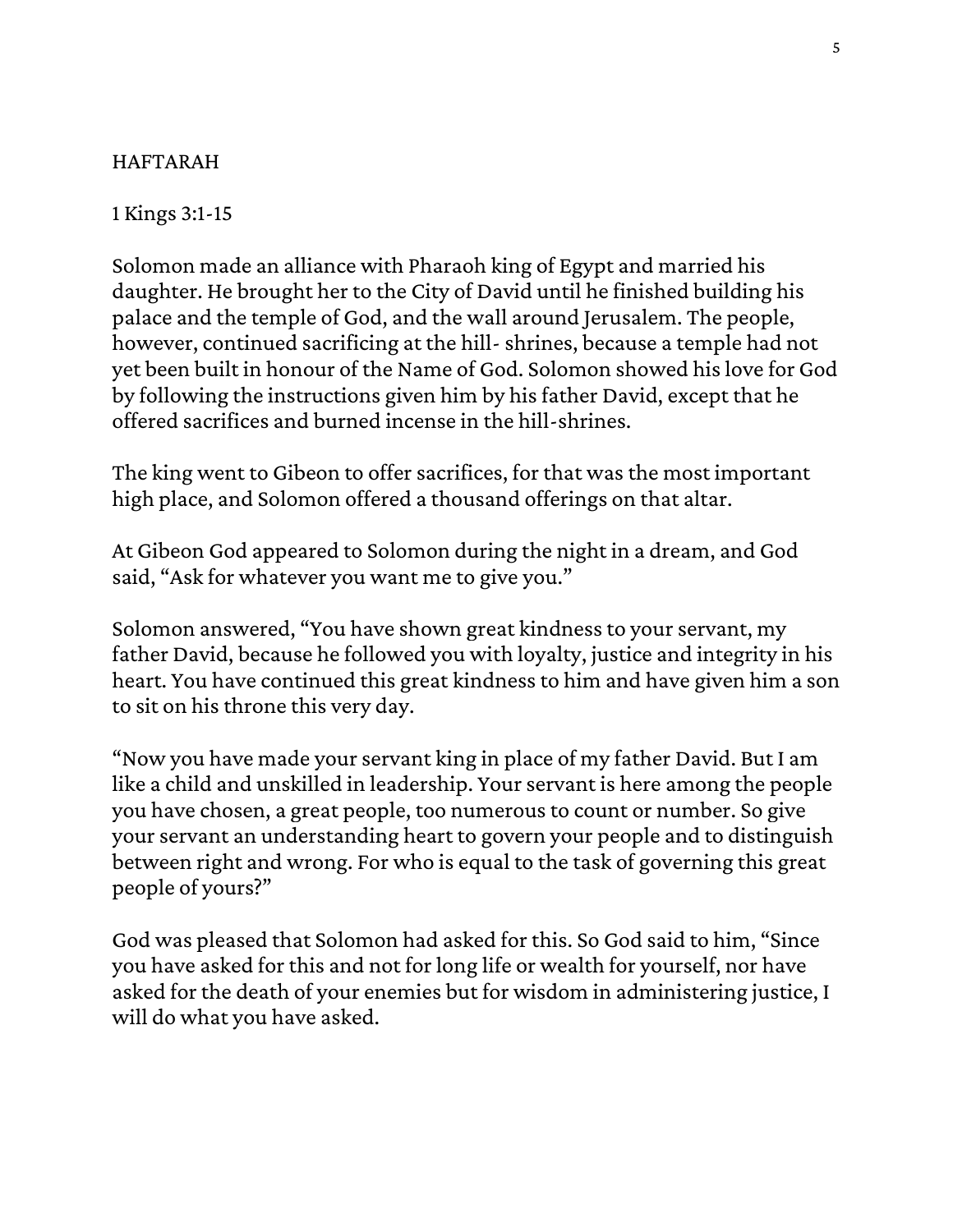## HAFTARAH

1 Kings 3:1-15

Solomon made an alliance with Pharaoh king of Egypt and married his daughter. He brought her to the City of David until he finished building his palace and the temple of God, and the wall around Jerusalem. The people, however, continued sacrificing at the hill-shrines, because a temple had not yet been built in honour of the Name of God. Solomon showed his love for God by following the instructions given him by his father David, except that he offered sacrifices and burned incense in the hill-shrines.

The king went to Gibeon to offer sacrifices, for that was the most important high place, and Solomon offered a thousand offerings on that altar.

At Gibeon God appeared to Solomon during the night in a dream, and God said, "Ask for whatever you want me to give you."

Solomon answered, "You have shown great kindness to your servant, my father David, because he followed you with loyalty, justice and integrity in his heart. You have continued this great kindness to him and have given him a son to sit on his throne this very day.

"Now you have made your servant king in place of my father David. But I am like a child and unskilled in leadership. Your servant is here among the people you have chosen, a great people, too numerous to count or number. So give your servant an understanding heart to govern your people and to distinguish between right and wrong. For who is equal to the task of governing this great people of yours?"

God was pleased that Solomon had asked for this. So God said to him, "Since you have asked for this and not for long life or wealth for yourself, nor have asked for the death of your enemies but for wisdom in administering justice, I will do what you have asked.